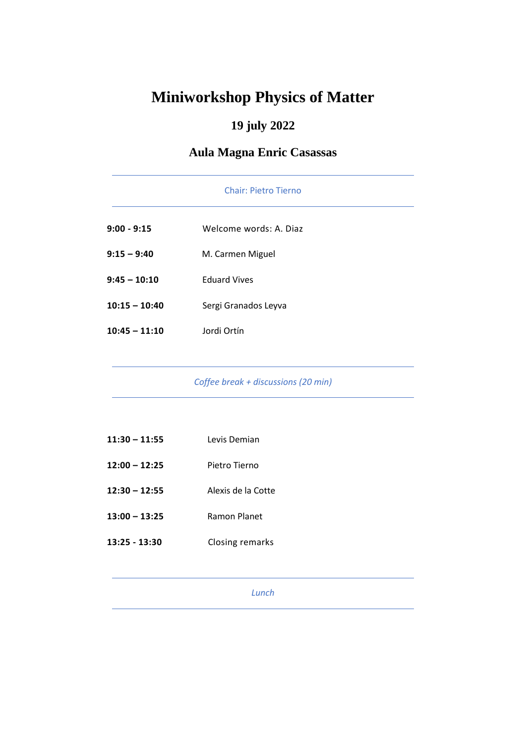# **Miniworkshop Physics of Matter**

## **19 july 2022**

## **Aula Magna Enric Casassas**

|                 | <b>Chair: Pietro Tierno</b> |
|-----------------|-----------------------------|
| $9:00 - 9:15$   | Welcome words: A. Diaz      |
| $9:15 - 9:40$   | M. Carmen Miguel            |
| $9:45 - 10:10$  | <b>Eduard Vives</b>         |
| $10:15 - 10:40$ | Sergi Granados Leyva        |
| $10:45 - 11:10$ | Jordi Ortín                 |

*Coffee break + discussions (20 min)*

| $11:30 - 11:55$ | Levis Demian       |
|-----------------|--------------------|
| 12:00 - 12:25   | Pietro Tierno      |
| 12:30 - 12:55   | Alexis de la Cotte |
| $13:00 - 13:25$ | Ramon Planet       |
| 13:25 - 13:30   | Closing remarks    |
|                 |                    |

*Lunch*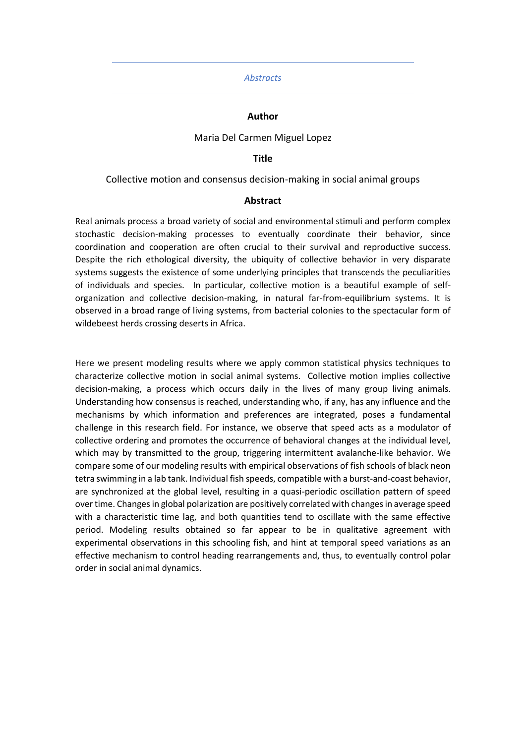#### *Abstracts*

#### **Author**

#### Maria Del Carmen Miguel Lopez

#### **Title**

#### Collective motion and consensus decision-making in social animal groups

#### **Abstract**

Real animals process a broad variety of social and environmental stimuli and perform complex stochastic decision-making processes to eventually coordinate their behavior, since coordination and cooperation are often crucial to their survival and reproductive success. Despite the rich ethological diversity, the ubiquity of collective behavior in very disparate systems suggests the existence of some underlying principles that transcends the peculiarities of individuals and species. In particular, collective motion is a beautiful example of selforganization and collective decision-making, in natural far-from-equilibrium systems. It is observed in a broad range of living systems, from bacterial colonies to the spectacular form of wildebeest herds crossing deserts in Africa.

Here we present modeling results where we apply common statistical physics techniques to characterize collective motion in social animal systems. Collective motion implies collective decision-making, a process which occurs daily in the lives of many group living animals. Understanding how consensus is reached, understanding who, if any, has any influence and the mechanisms by which information and preferences are integrated, poses a fundamental challenge in this research field. For instance, we observe that speed acts as a modulator of collective ordering and promotes the occurrence of behavioral changes at the individual level, which may by transmitted to the group, triggering intermittent avalanche-like behavior. We compare some of our modeling results with empirical observations of fish schools of black neon tetra swimming in a lab tank. Individual fish speeds, compatible with a burst-and-coast behavior, are synchronized at the global level, resulting in a quasi-periodic oscillation pattern of speed over time. Changes in global polarization are positively correlated with changes in average speed with a characteristic time lag, and both quantities tend to oscillate with the same effective period. Modeling results obtained so far appear to be in qualitative agreement with experimental observations in this schooling fish, and hint at temporal speed variations as an effective mechanism to control heading rearrangements and, thus, to eventually control polar order in social animal dynamics.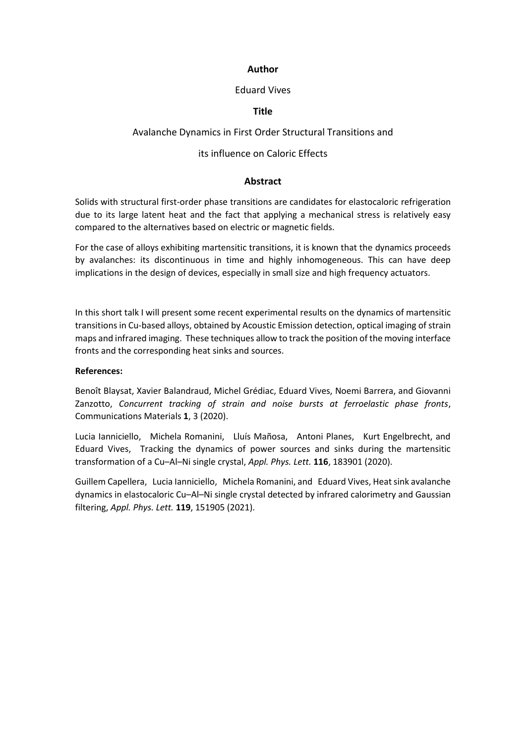## Eduard Vives

## **Title**

## Avalanche Dynamics in First Order Structural Transitions and

## its influence on Caloric Effects

## **Abstract**

Solids with structural first-order phase transitions are candidates for elastocaloric refrigeration due to its large latent heat and the fact that applying a mechanical stress is relatively easy compared to the alternatives based on electric or magnetic fields.

For the case of alloys exhibiting martensitic transitions, it is known that the dynamics proceeds by avalanches: its discontinuous in time and highly inhomogeneous. This can have deep implications in the design of devices, especially in small size and high frequency actuators.

In this short talk I will present some recent experimental results on the dynamics of martensitic transitions in Cu-based alloys, obtained by Acoustic Emission detection, optical imaging of strain maps and infrared imaging. These techniques allow to track the position of the moving interface fronts and the corresponding heat sinks and sources.

#### **References:**

Benoît Blaysat, Xavier Balandraud, Michel Grédiac, Eduard Vives, Noemi Barrera, and Giovanni Zanzotto, *Concurrent tracking of strain and noise bursts at ferroelastic phase fronts*, Communications Materials **1**, 3 (2020).

Lucia Ianniciello, Michela Romanini, Lluís Mañosa, Antoni Planes, Kurt Engelbrecht, and Eduard Vives, Tracking the dynamics of power sources and sinks during the martensitic transformation of a Cu–Al–Ni single crystal, *Appl. Phys. Lett.* **116**, 183901 (2020).

Guillem Capellera, Lucia Ianniciello, Michela Romanini, and Eduard Vives, Heat sink avalanche dynamics in elastocaloric Cu–Al–Ni single crystal detected by infrared calorimetry and Gaussian filtering, *Appl. Phys. Lett.* **119**, 151905 (2021).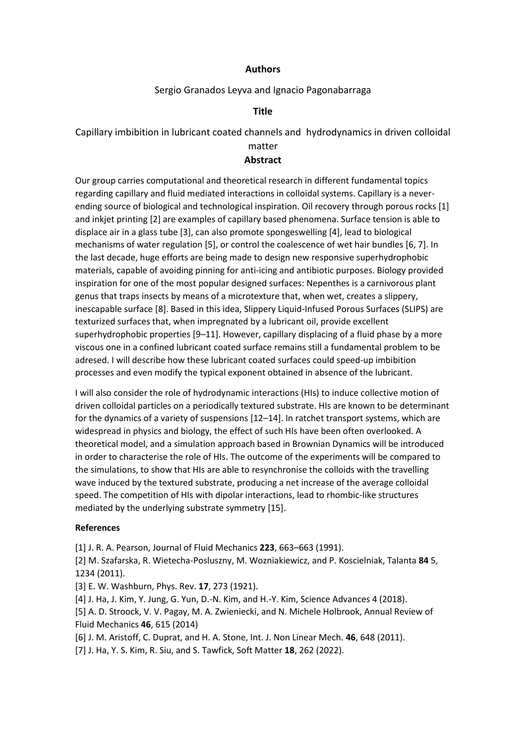## Sergio Granados Leyva and Ignacio Pagonabarraga

## **Title**

Capillary imbibition in lubricant coated channels and hydrodynamics in driven colloidal

# matter

## **Abstract**

Our group carries computational and theoretical research in different fundamental topics regarding capillary and fluid mediated interactions in colloidal systems. Capillary is a neverending source of biological and technological inspiration. Oil recovery through porous rocks [1] and inkjet printing [2] are examples of capillary based phenomena. Surface tension is able to displace air in a glass tube [3], can also promote spongeswelling [4], lead to biological mechanisms of water regulation [5], or control the coalescence of wet hair bundles [6, 7]. In the last decade, huge efforts are being made to design new responsive superhydrophobic materials, capable of avoiding pinning for anti-icing and antibiotic purposes. Biology provided inspiration for one of the most popular designed surfaces: Nepenthes is a carnivorous plant genus that traps insects by means of a microtexture that, when wet, creates a slippery, inescapable surface [8]. Based in this idea, Slippery Liquid-Infused Porous Surfaces (SLIPS) are texturized surfaces that, when impregnated by a lubricant oil, provide excellent superhydrophobic properties [9–11]. However, capillary displacing of a fluid phase by a more viscous one in a confined lubricant coated surface remains still a fundamental problem to be adresed. I will describe how these lubricant coated surfaces could speed-up imbibition processes and even modify the typical exponent obtained in absence of the lubricant.

I will also consider the role of hydrodynamic interactions (HIs) to induce collective motion of driven colloidal particles on a periodically textured substrate. HIs are known to be determinant for the dynamics of a variety of suspensions [12–14]. In ratchet transport systems, which are widespread in physics and biology, the effect of such HIs have been often overlooked. A theoretical model, and a simulation approach based in Brownian Dynamics will be introduced in order to characterise the role of HIs. The outcome of the experiments will be compared to the simulations, to show that HIs are able to resynchronise the colloids with the travelling wave induced by the textured substrate, producing a net increase of the average colloidal speed. The competition of HIs with dipolar interactions, lead to rhombic-like structures mediated by the underlying substrate symmetry [15].

#### **References**

[1] J. R. A. Pearson, Journal of Fluid Mechanics **223**, 663–663 (1991).

[2] M. Szafarska, R. Wietecha-Posluszny, M. Wozniakiewicz, and P. Koscielniak, Talanta **84** 5, 1234 (2011).

[3] E. W. Washburn, Phys. Rev. **17**, 273 (1921).

[4] J. Ha, J. Kim, Y. Jung, G. Yun, D.-N. Kim, and H.-Y. Kim, Science Advances 4 (2018).

[5] A. D. Stroock, V. V. Pagay, M. A. Zwieniecki, and N. Michele Holbrook, Annual Review of Fluid Mechanics **46**, 615 (2014)

[6] J. M. Aristoff, C. Duprat, and H. A. Stone, Int. J. Non Linear Mech. **46**, 648 (2011).

[7] J. Ha, Y. S. Kim, R. Siu, and S. Tawfick, Soft Matter **18**, 262 (2022).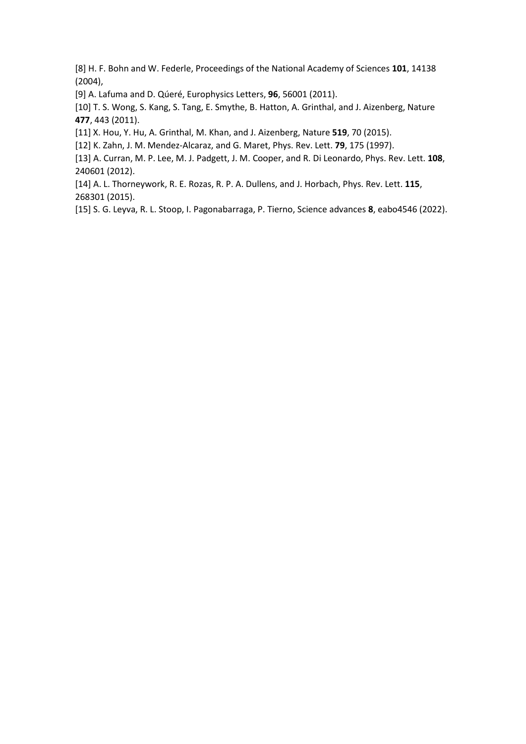[8] H. F. Bohn and W. Federle, Proceedings of the National Academy of Sciences **101**, 14138 (2004),

[9] A. Lafuma and D. Qúeré, Europhysics Letters, **96**, 56001 (2011).

[10] T. S. Wong, S. Kang, S. Tang, E. Smythe, B. Hatton, A. Grinthal, and J. Aizenberg, Nature **477**, 443 (2011).

[11] X. Hou, Y. Hu, A. Grinthal, M. Khan, and J. Aizenberg, Nature **519**, 70 (2015).

[12] K. Zahn, J. M. Mendez-Alcaraz, and G. Maret, Phys. Rev. Lett. **79**, 175 (1997).

[13] A. Curran, M. P. Lee, M. J. Padgett, J. M. Cooper, and R. Di Leonardo, Phys. Rev. Lett. **108**, 240601 (2012).

[14] A. L. Thorneywork, R. E. Rozas, R. P. A. Dullens, and J. Horbach, Phys. Rev. Lett. **115**, 268301 (2015).

[15] S. G. Leyva, R. L. Stoop, I. Pagonabarraga, P. Tierno, Science advances **8**, eabo4546 (2022).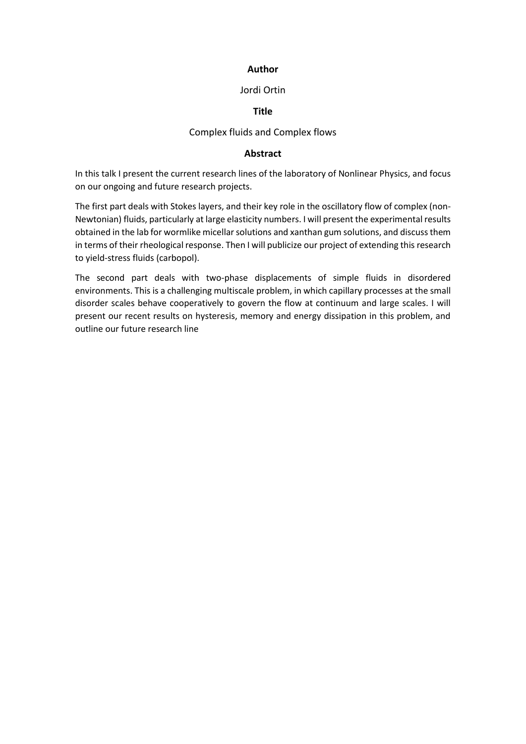## Jordi Ortin

## **Title**

## Complex fluids and Complex flows

#### **Abstract**

In this talk I present the current research lines of the laboratory of Nonlinear Physics, and focus on our ongoing and future research projects.

The first part deals with Stokes layers, and their key role in the oscillatory flow of complex (non-Newtonian) fluids, particularly at large elasticity numbers. I will present the experimental results obtained in the lab for wormlike micellar solutions and xanthan gum solutions, and discuss them in terms of their rheological response. Then I will publicize our project of extending this research to yield-stress fluids (carbopol).

The second part deals with two-phase displacements of simple fluids in disordered environments. This is a challenging multiscale problem, in which capillary processes at the small disorder scales behave cooperatively to govern the flow at continuum and large scales. I will present our recent results on hysteresis, memory and energy dissipation in this problem, and outline our future research line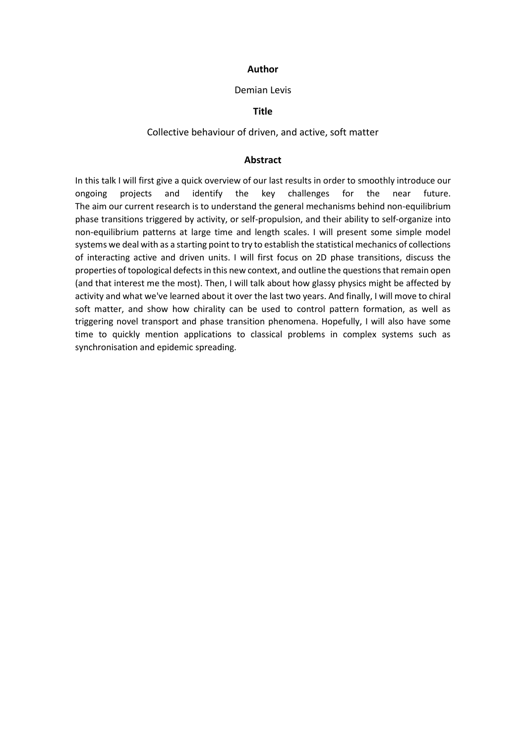#### Demian Levis

## **Title**

## Collective behaviour of driven, and active, soft matter

#### **Abstract**

In this talk I will first give a quick overview of our last results in order to smoothly introduce our ongoing projects and identify the key challenges for the near future. The aim our current research is to understand the general mechanisms behind non-equilibrium phase transitions triggered by activity, or self-propulsion, and their ability to self-organize into non-equilibrium patterns at large time and length scales. I will present some simple model systems we deal with as a starting point to try to establish the statistical mechanics of collections of interacting active and driven units. I will first focus on 2D phase transitions, discuss the properties of topological defects in this new context, and outline the questions that remain open (and that interest me the most). Then, I will talk about how glassy physics might be affected by activity and what we've learned about it over the last two years. And finally, I will move to chiral soft matter, and show how chirality can be used to control pattern formation, as well as triggering novel transport and phase transition phenomena. Hopefully, I will also have some time to quickly mention applications to classical problems in complex systems such as synchronisation and epidemic spreading.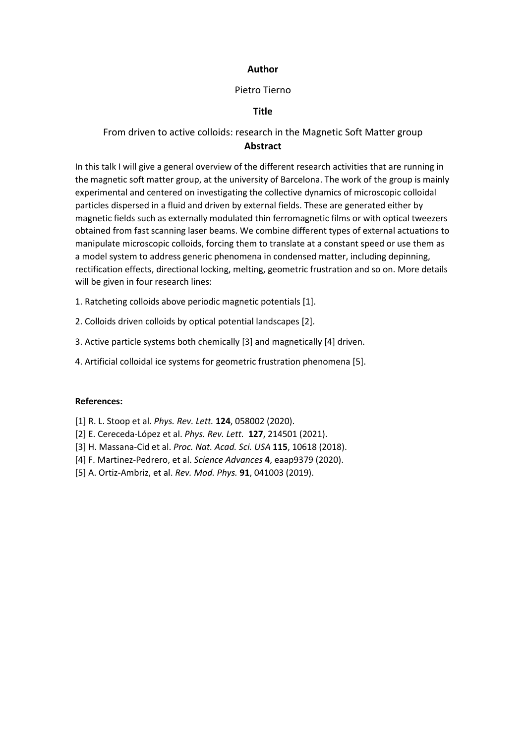## Pietro Tierno

## **Title**

## From driven to active colloids: research in the Magnetic Soft Matter group **Abstract**

In this talk I will give a general overview of the different research activities that are running in the magnetic soft matter group, at the university of Barcelona. The work of the group is mainly experimental and centered on investigating the collective dynamics of microscopic colloidal particles dispersed in a fluid and driven by external fields. These are generated either by magnetic fields such as externally modulated thin ferromagnetic films or with optical tweezers obtained from fast scanning laser beams. We combine different types of external actuations to manipulate microscopic colloids, forcing them to translate at a constant speed or use them as a model system to address generic phenomena in condensed matter, including depinning, rectification effects, directional locking, melting, geometric frustration and so on. More details will be given in four research lines:

1. Ratcheting colloids above periodic magnetic potentials [1].

2. Colloids driven colloids by optical potential landscapes [2].

3. Active particle systems both chemically [3] and magnetically [4] driven.

4. Artificial colloidal ice systems for geometric frustration phenomena [5].

#### **References:**

- [1] R. L. Stoop et al. *Phys. Rev. Lett.* **124**, 058002 (2020).
- [2] E. Cereceda-López et al. *Phys. Rev. Lett.* **127**, 214501 (2021).
- [3] H. Massana-Cid et al. *Proc. Nat. Acad. Sci. USA* **115**, 10618 (2018).
- [4] F. Martinez-Pedrero, et al. *Science Advances* **4**, eaap9379 (2020).
- [5] A. Ortiz-Ambriz, et al. *Rev. Mod. Phys.* **91**, 041003 (2019).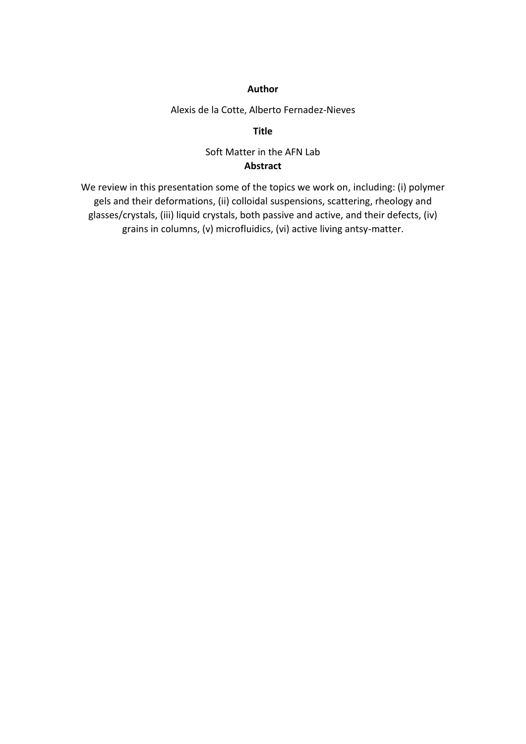Alexis de la Cotte, Alberto Fernadez-Nieves

**Title**

## Soft Matter in the AFN Lab **Abstract**

We review in this presentation some of the topics we work on, including: (i) polymer gels and their deformations, (ii) colloidal suspensions, scattering, rheology and glasses/crystals, (iii) liquid crystals, both passive and active, and their defects, (iv) grains in columns, (v) microfluidics, (vi) active living antsy-matter.